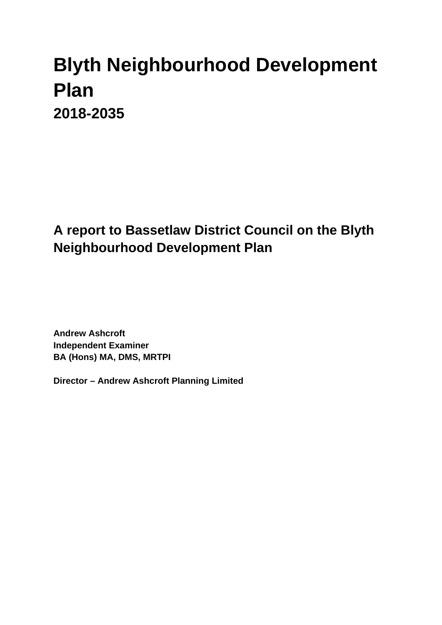# **Blyth Neighbourhood Development Plan 2018-2035**

# **A report to Bassetlaw District Council on the Blyth Neighbourhood Development Plan**

**Andrew Ashcroft Independent Examiner BA (Hons) MA, DMS, MRTPI**

**Director – Andrew Ashcroft Planning Limited**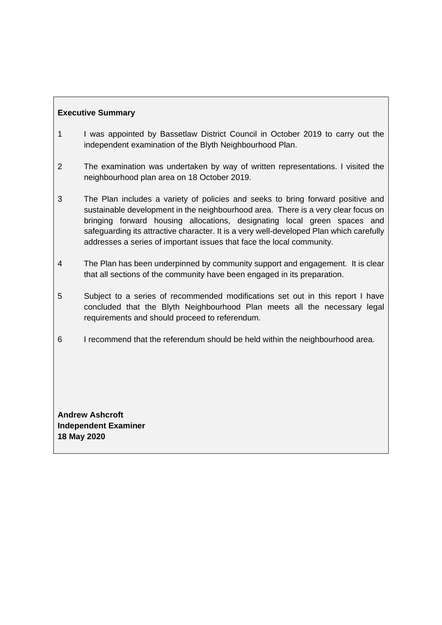# **Executive Summary**

- 1 I was appointed by Bassetlaw District Council in October 2019 to carry out the independent examination of the Blyth Neighbourhood Plan.
- 2 The examination was undertaken by way of written representations. I visited the neighbourhood plan area on 18 October 2019.
- 3 The Plan includes a variety of policies and seeks to bring forward positive and sustainable development in the neighbourhood area. There is a very clear focus on bringing forward housing allocations, designating local green spaces and safeguarding its attractive character. It is a very well-developed Plan which carefully addresses a series of important issues that face the local community.
- 4 The Plan has been underpinned by community support and engagement. It is clear that all sections of the community have been engaged in its preparation.
- 5 Subject to a series of recommended modifications set out in this report I have concluded that the Blyth Neighbourhood Plan meets all the necessary legal requirements and should proceed to referendum.
- 6 I recommend that the referendum should be held within the neighbourhood area.

**Andrew Ashcroft Independent Examiner 18 May 2020**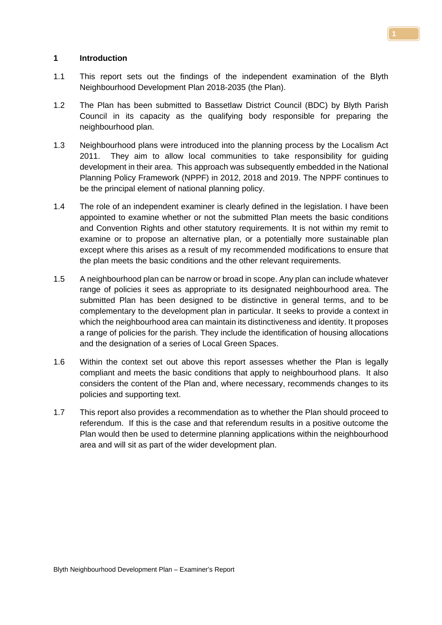#### **1 Introduction**

- 1.1 This report sets out the findings of the independent examination of the Blyth Neighbourhood Development Plan 2018-2035 (the Plan).
- 1.2 The Plan has been submitted to Bassetlaw District Council (BDC) by Blyth Parish Council in its capacity as the qualifying body responsible for preparing the neighbourhood plan.
- 1.3 Neighbourhood plans were introduced into the planning process by the Localism Act 2011. They aim to allow local communities to take responsibility for guiding development in their area. This approach was subsequently embedded in the National Planning Policy Framework (NPPF) in 2012, 2018 and 2019. The NPPF continues to be the principal element of national planning policy.
- 1.4 The role of an independent examiner is clearly defined in the legislation. I have been appointed to examine whether or not the submitted Plan meets the basic conditions and Convention Rights and other statutory requirements. It is not within my remit to examine or to propose an alternative plan, or a potentially more sustainable plan except where this arises as a result of my recommended modifications to ensure that the plan meets the basic conditions and the other relevant requirements.
- 1.5 A neighbourhood plan can be narrow or broad in scope. Any plan can include whatever range of policies it sees as appropriate to its designated neighbourhood area. The submitted Plan has been designed to be distinctive in general terms, and to be complementary to the development plan in particular. It seeks to provide a context in which the neighbourhood area can maintain its distinctiveness and identity. It proposes a range of policies for the parish. They include the identification of housing allocations and the designation of a series of Local Green Spaces.
- 1.6 Within the context set out above this report assesses whether the Plan is legally compliant and meets the basic conditions that apply to neighbourhood plans. It also considers the content of the Plan and, where necessary, recommends changes to its policies and supporting text.
- 1.7 This report also provides a recommendation as to whether the Plan should proceed to referendum. If this is the case and that referendum results in a positive outcome the Plan would then be used to determine planning applications within the neighbourhood area and will sit as part of the wider development plan.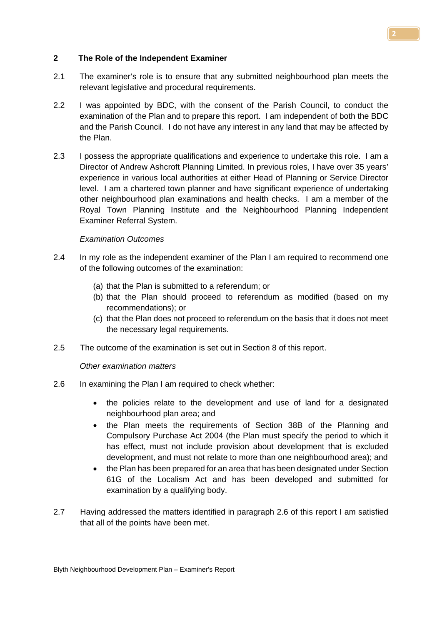#### **2 The Role of the Independent Examiner**

- 2.1 The examiner's role is to ensure that any submitted neighbourhood plan meets the relevant legislative and procedural requirements.
- 2.2 I was appointed by BDC, with the consent of the Parish Council, to conduct the examination of the Plan and to prepare this report. I am independent of both the BDC and the Parish Council. I do not have any interest in any land that may be affected by the Plan.
- 2.3 I possess the appropriate qualifications and experience to undertake this role. I am a Director of Andrew Ashcroft Planning Limited. In previous roles, I have over 35 years' experience in various local authorities at either Head of Planning or Service Director level. I am a chartered town planner and have significant experience of undertaking other neighbourhood plan examinations and health checks. I am a member of the Royal Town Planning Institute and the Neighbourhood Planning Independent Examiner Referral System.

#### *Examination Outcomes*

- 2.4 In my role as the independent examiner of the Plan I am required to recommend one of the following outcomes of the examination:
	- (a) that the Plan is submitted to a referendum; or
	- (b) that the Plan should proceed to referendum as modified (based on my recommendations); or
	- (c) that the Plan does not proceed to referendum on the basis that it does not meet the necessary legal requirements.
- 2.5 The outcome of the examination is set out in Section 8 of this report.

#### *Other examination matters*

- 2.6 In examining the Plan I am required to check whether:
	- the policies relate to the development and use of land for a designated neighbourhood plan area; and
	- the Plan meets the requirements of Section 38B of the Planning and Compulsory Purchase Act 2004 (the Plan must specify the period to which it has effect, must not include provision about development that is excluded development, and must not relate to more than one neighbourhood area); and
	- the Plan has been prepared for an area that has been designated under Section 61G of the Localism Act and has been developed and submitted for examination by a qualifying body.
- 2.7 Having addressed the matters identified in paragraph 2.6 of this report I am satisfied that all of the points have been met.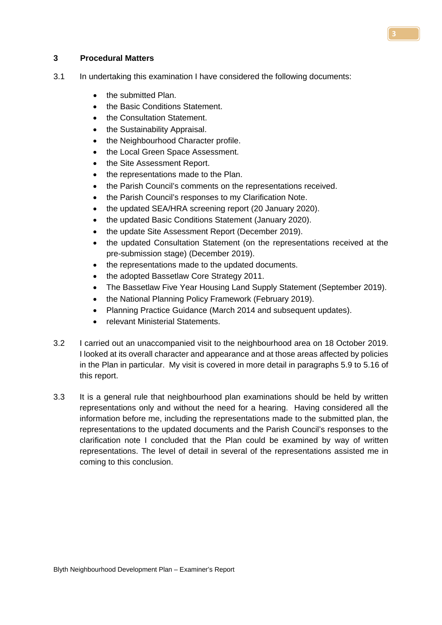#### **3 Procedural Matters**

- 3.1 In undertaking this examination I have considered the following documents:
	- the submitted Plan.
	- the Basic Conditions Statement.
	- the Consultation Statement.
	- the Sustainability Appraisal.
	- the Neighbourhood Character profile.
	- the Local Green Space Assessment.
	- the Site Assessment Report.
	- the representations made to the Plan.
	- the Parish Council's comments on the representations received.
	- the Parish Council's responses to my Clarification Note.
	- the updated SEA/HRA screening report (20 January 2020).
	- the updated Basic Conditions Statement (January 2020).
	- the update Site Assessment Report (December 2019).
	- the updated Consultation Statement (on the representations received at the pre-submission stage) (December 2019).
	- the representations made to the updated documents.
	- the adopted Bassetlaw Core Strategy 2011.
	- The Bassetlaw Five Year Housing Land Supply Statement (September 2019).
	- the National Planning Policy Framework (February 2019).
	- Planning Practice Guidance (March 2014 and subsequent updates).
	- relevant Ministerial Statements.
- 3.2 I carried out an unaccompanied visit to the neighbourhood area on 18 October 2019. I looked at its overall character and appearance and at those areas affected by policies in the Plan in particular. My visit is covered in more detail in paragraphs 5.9 to 5.16 of this report.
- 3.3 It is a general rule that neighbourhood plan examinations should be held by written representations only and without the need for a hearing. Having considered all the information before me, including the representations made to the submitted plan, the representations to the updated documents and the Parish Council's responses to the clarification note I concluded that the Plan could be examined by way of written representations. The level of detail in several of the representations assisted me in coming to this conclusion.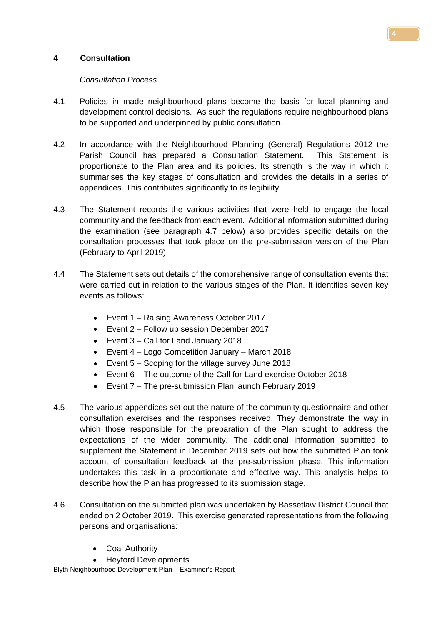# **4 Consultation**

#### *Consultation Process*

- 4.1 Policies in made neighbourhood plans become the basis for local planning and development control decisions. As such the regulations require neighbourhood plans to be supported and underpinned by public consultation.
- 4.2 In accordance with the Neighbourhood Planning (General) Regulations 2012 the Parish Council has prepared a Consultation Statement. This Statement is proportionate to the Plan area and its policies. Its strength is the way in which it summarises the key stages of consultation and provides the details in a series of appendices. This contributes significantly to its legibility.
- 4.3 The Statement records the various activities that were held to engage the local community and the feedback from each event. Additional information submitted during the examination (see paragraph 4.7 below) also provides specific details on the consultation processes that took place on the pre-submission version of the Plan (February to April 2019).
- 4.4 The Statement sets out details of the comprehensive range of consultation events that were carried out in relation to the various stages of the Plan. It identifies seven key events as follows:
	- Event 1 Raising Awareness October 2017
	- Event 2 Follow up session December 2017
	- Event 3 Call for Land January 2018
	- Event 4 Logo Competition January March 2018
	- Event 5 Scoping for the village survey June 2018
	- Event 6 The outcome of the Call for Land exercise October 2018
	- Event 7 The pre-submission Plan launch February 2019
- 4.5 The various appendices set out the nature of the community questionnaire and other consultation exercises and the responses received. They demonstrate the way in which those responsible for the preparation of the Plan sought to address the expectations of the wider community. The additional information submitted to supplement the Statement in December 2019 sets out how the submitted Plan took account of consultation feedback at the pre-submission phase. This information undertakes this task in a proportionate and effective way. This analysis helps to describe how the Plan has progressed to its submission stage.
- 4.6 Consultation on the submitted plan was undertaken by Bassetlaw District Council that ended on 2 October 2019. This exercise generated representations from the following persons and organisations:
	- Coal Authority
	- Heyford Developments

Blyth Neighbourhood Development Plan – Examiner's Report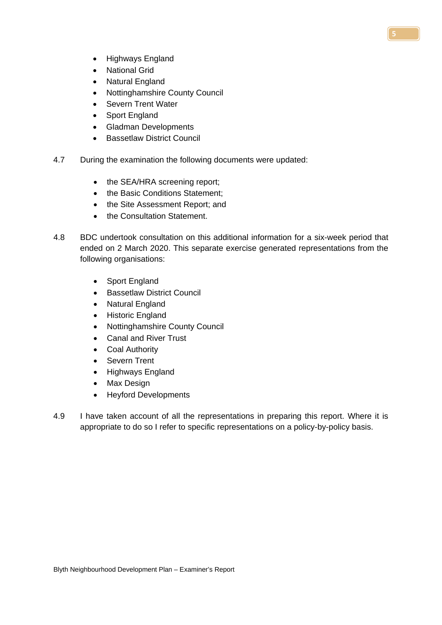- Highways England
- National Grid
- Natural England
- Nottinghamshire County Council
- Severn Trent Water
- Sport England
- Gladman Developments
- Bassetlaw District Council
- 4.7 During the examination the following documents were updated:
	- the SEA/HRA screening report;
	- the Basic Conditions Statement:
	- the Site Assessment Report; and
	- the Consultation Statement.
- 4.8 BDC undertook consultation on this additional information for a six-week period that ended on 2 March 2020. This separate exercise generated representations from the following organisations:
	- Sport England
	- Bassetlaw District Council
	- Natural England
	- Historic England
	- Nottinghamshire County Council
	- Canal and River Trust
	- Coal Authority
	- Severn Trent
	- Highways England
	- Max Design
	- Heyford Developments
- 4.9 I have taken account of all the representations in preparing this report. Where it is appropriate to do so I refer to specific representations on a policy-by-policy basis.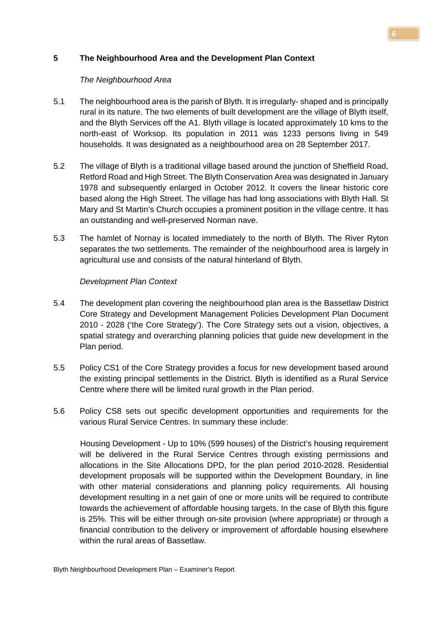# **5 The Neighbourhood Area and the Development Plan Context**

# *The Neighbourhood Area*

- 5.1 The neighbourhood area is the parish of Blyth. It is irregularly- shaped and is principally rural in its nature. The two elements of built development are the village of Blyth itself, and the Blyth Services off the A1. Blyth village is located approximately 10 kms to the north-east of Worksop. Its population in 2011 was 1233 persons living in 549 households. It was designated as a neighbourhood area on 28 September 2017.
- 5.2 The village of Blyth is a traditional village based around the junction of Sheffield Road, Retford Road and High Street. The Blyth Conservation Area was designated in January 1978 and subsequently enlarged in October 2012. It covers the linear historic core based along the High Street. The village has had long associations with Blyth Hall. St Mary and St Martin's Church occupies a prominent position in the village centre. It has an outstanding and well-preserved Norman nave.
- 5.3 The hamlet of Nornay is located immediately to the north of Blyth. The River Ryton separates the two settlements. The remainder of the neighbourhood area is largely in agricultural use and consists of the natural hinterland of Blyth.

# *Development Plan Context*

- 5.4 The development plan covering the neighbourhood plan area is the Bassetlaw District Core Strategy and Development Management Policies Development Plan Document 2010 - 2028 ('the Core Strategy'). The [Core Strategy](http://molevalley-consult.limehouse.co.uk/portal/cs/cs_-_adopted_oct_2009/core_strategy_-_adopted_october_2009_1?pointId=906692) sets out a vision, objectives, a spatial strategy and overarching planning policies that guide new development in the Plan period.
- 5.5 Policy CS1 of the Core Strategy provides a focus for new development based around the existing principal settlements in the District. Blyth is identified as a Rural Service Centre where there will be limited rural growth in the Plan period.
- 5.6 Policy CS8 sets out specific development opportunities and requirements for the various Rural Service Centres. In summary these include:

Housing Development - Up to 10% (599 houses) of the District's housing requirement will be delivered in the Rural Service Centres through existing permissions and allocations in the Site Allocations DPD, for the plan period 2010-2028. Residential development proposals will be supported within the Development Boundary, in line with other material considerations and planning policy requirements. All housing development resulting in a net gain of one or more units will be required to contribute towards the achievement of affordable housing targets. In the case of Blyth this figure is 25%. This will be either through on-site provision (where appropriate) or through a financial contribution to the delivery or improvement of affordable housing elsewhere within the rural areas of Bassetlaw.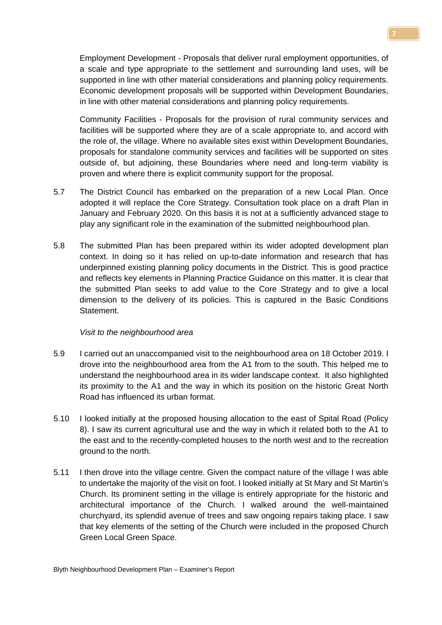Employment Development - Proposals that deliver rural employment opportunities, of a scale and type appropriate to the settlement and surrounding land uses, will be supported in line with other material considerations and planning policy requirements. Economic development proposals will be supported within Development Boundaries, in line with other material considerations and planning policy requirements.

Community Facilities - Proposals for the provision of rural community services and facilities will be supported where they are of a scale appropriate to, and accord with the role of, the village. Where no available sites exist within Development Boundaries, proposals for standalone community services and facilities will be supported on sites outside of, but adjoining, these Boundaries where need and long-term viability is proven and where there is explicit community support for the proposal.

- 5.7 The District Council has embarked on the preparation of a new Local Plan. Once adopted it will replace the Core Strategy. Consultation took place on a draft Plan in January and February 2020. On this basis it is not at a sufficiently advanced stage to play any significant role in the examination of the submitted neighbourhood plan.
- 5.8 The submitted Plan has been prepared within its wider adopted development plan context. In doing so it has relied on up-to-date information and research that has underpinned existing planning policy documents in the District. This is good practice and reflects key elements in Planning Practice Guidance on this matter. It is clear that the submitted Plan seeks to add value to the Core Strategy and to give a local dimension to the delivery of its policies. This is captured in the Basic Conditions Statement.

#### *Visit to the neighbourhood area*

- 5.9 I carried out an unaccompanied visit to the neighbourhood area on 18 October 2019. I drove into the neighbourhood area from the A1 from to the south. This helped me to understand the neighbourhood area in its wider landscape context. It also highlighted its proximity to the A1 and the way in which its position on the historic Great North Road has influenced its urban format.
- 5.10 I looked initially at the proposed housing allocation to the east of Spital Road (Policy 8). I saw its current agricultural use and the way in which it related both to the A1 to the east and to the recently-completed houses to the north west and to the recreation ground to the north.
- 5.11 I then drove into the village centre. Given the compact nature of the village I was able to undertake the majority of the visit on foot. I looked initially at St Mary and St Martin's Church. Its prominent setting in the village is entirely appropriate for the historic and architectural importance of the Church. I walked around the well-maintained churchyard, its splendid avenue of trees and saw ongoing repairs taking place. I saw that key elements of the setting of the Church were included in the proposed Church Green Local Green Space.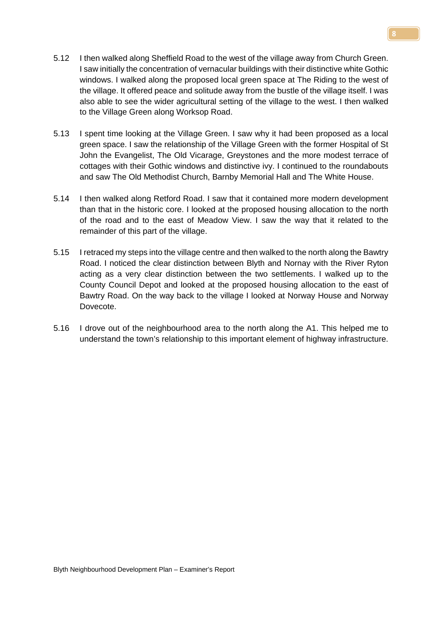- 5.12 I then walked along Sheffield Road to the west of the village away from Church Green. I saw initially the concentration of vernacular buildings with their distinctive white Gothic windows. I walked along the proposed local green space at The Riding to the west of the village. It offered peace and solitude away from the bustle of the village itself. I was also able to see the wider agricultural setting of the village to the west. I then walked to the Village Green along Worksop Road.
- 5.13 I spent time looking at the Village Green. I saw why it had been proposed as a local green space. I saw the relationship of the Village Green with the former Hospital of St John the Evangelist, The Old Vicarage, Greystones and the more modest terrace of cottages with their Gothic windows and distinctive ivy. I continued to the roundabouts and saw The Old Methodist Church, Barnby Memorial Hall and The White House.
- 5.14 I then walked along Retford Road. I saw that it contained more modern development than that in the historic core. I looked at the proposed housing allocation to the north of the road and to the east of Meadow View. I saw the way that it related to the remainder of this part of the village.
- 5.15 I retraced my steps into the village centre and then walked to the north along the Bawtry Road. I noticed the clear distinction between Blyth and Nornay with the River Ryton acting as a very clear distinction between the two settlements. I walked up to the County Council Depot and looked at the proposed housing allocation to the east of Bawtry Road. On the way back to the village I looked at Norway House and Norway Dovecote.
- 5.16 I drove out of the neighbourhood area to the north along the A1. This helped me to understand the town's relationship to this important element of highway infrastructure.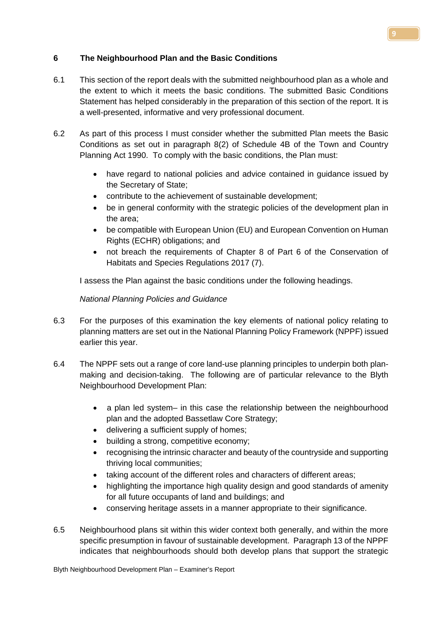# **6 The Neighbourhood Plan and the Basic Conditions**

- 6.1 This section of the report deals with the submitted neighbourhood plan as a whole and the extent to which it meets the basic conditions. The submitted Basic Conditions Statement has helped considerably in the preparation of this section of the report. It is a well-presented, informative and very professional document.
- 6.2 As part of this process I must consider whether the submitted Plan meets the Basic Conditions as set out in paragraph 8(2) of Schedule 4B of the Town and Country Planning Act 1990. To comply with the basic conditions, the Plan must:
	- have regard to national policies and advice contained in guidance issued by the Secretary of State;
	- contribute to the achievement of sustainable development;
	- be in general conformity with the strategic policies of the development plan in the area;
	- be compatible with European Union (EU) and European Convention on Human Rights (ECHR) obligations; and
	- not breach the requirements of Chapter 8 of Part 6 of the Conservation of Habitats and Species Regulations 2017 (7).

I assess the Plan against the basic conditions under the following headings.

# *National Planning Policies and Guidance*

- 6.3 For the purposes of this examination the key elements of national policy relating to planning matters are set out in the National Planning Policy Framework (NPPF) issued earlier this year.
- 6.4 The NPPF sets out a range of core land-use planning principles to underpin both planmaking and decision-taking. The following are of particular relevance to the Blyth Neighbourhood Development Plan:
	- a plan led system– in this case the relationship between the neighbourhood plan and the adopted Bassetlaw Core Strategy;
	- delivering a sufficient supply of homes;
	- building a strong, competitive economy;
	- recognising the intrinsic character and beauty of the countryside and supporting thriving local communities;
	- taking account of the different roles and characters of different areas;
	- highlighting the importance high quality design and good standards of amenity for all future occupants of land and buildings; and
	- conserving heritage assets in a manner appropriate to their significance.
- 6.5 Neighbourhood plans sit within this wider context both generally, and within the more specific presumption in favour of sustainable development. Paragraph 13 of the NPPF indicates that neighbourhoods should both develop plans that support the strategic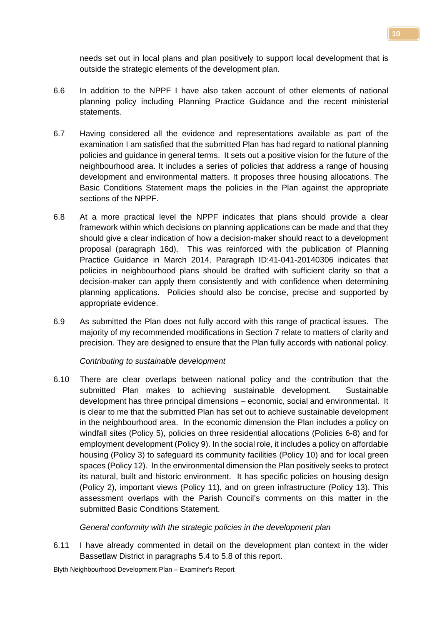needs set out in local plans and plan positively to support local development that is outside the strategic elements of the development plan.

- 6.6 In addition to the NPPF I have also taken account of other elements of national planning policy including Planning Practice Guidance and the recent ministerial statements.
- 6.7 Having considered all the evidence and representations available as part of the examination I am satisfied that the submitted Plan has had regard to national planning policies and guidance in general terms. It sets out a positive vision for the future of the neighbourhood area. It includes a series of policies that address a range of housing development and environmental matters. It proposes three housing allocations. The Basic Conditions Statement maps the policies in the Plan against the appropriate sections of the NPPF.
- 6.8 At a more practical level the NPPF indicates that plans should provide a clear framework within which decisions on planning applications can be made and that they should give a clear indication of how a decision-maker should react to a development proposal (paragraph 16d). This was reinforced with the publication of Planning Practice Guidance in March 2014. Paragraph ID:41-041-20140306 indicates that policies in neighbourhood plans should be drafted with sufficient clarity so that a decision-maker can apply them consistently and with confidence when determining planning applications. Policies should also be concise, precise and supported by appropriate evidence.
- 6.9 As submitted the Plan does not fully accord with this range of practical issues. The majority of my recommended modifications in Section 7 relate to matters of clarity and precision. They are designed to ensure that the Plan fully accords with national policy.

*Contributing to sustainable development*

6.10 There are clear overlaps between national policy and the contribution that the submitted Plan makes to achieving sustainable development. Sustainable development has three principal dimensions – economic, social and environmental. It is clear to me that the submitted Plan has set out to achieve sustainable development in the neighbourhood area. In the economic dimension the Plan includes a policy on windfall sites (Policy 5), policies on three residential allocations (Policies 6-8) and for employment development (Policy 9). In the social role, it includes a policy on affordable housing (Policy 3) to safeguard its community facilities (Policy 10) and for local green spaces (Policy 12). In the environmental dimension the Plan positively seeks to protect its natural, built and historic environment. It has specific policies on housing design (Policy 2), important views (Policy 11), and on green infrastructure (Policy 13). This assessment overlaps with the Parish Council's comments on this matter in the submitted Basic Conditions Statement.

*General conformity with the strategic policies in the development plan*

6.11 I have already commented in detail on the development plan context in the wider Bassetlaw District in paragraphs 5.4 to 5.8 of this report.

Blyth Neighbourhood Development Plan – Examiner's Report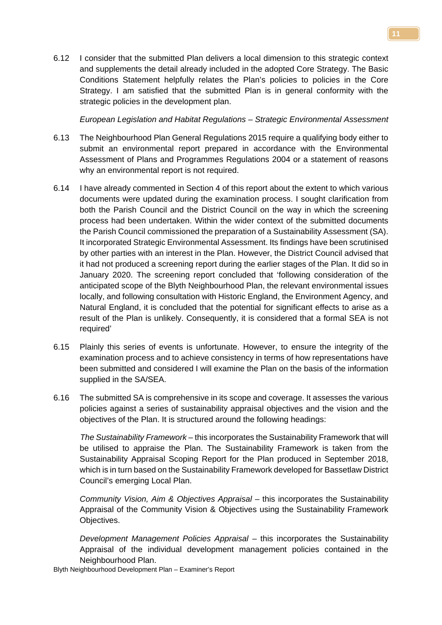6.12 I consider that the submitted Plan delivers a local dimension to this strategic context and supplements the detail already included in the adopted Core Strategy. The Basic Conditions Statement helpfully relates the Plan's policies to policies in the Core Strategy. I am satisfied that the submitted Plan is in general conformity with the strategic policies in the development plan.

*European Legislation and Habitat Regulations – Strategic Environmental Assessment*

- 6.13 The Neighbourhood Plan General Regulations 2015 require a qualifying body either to submit an environmental report prepared in accordance with the Environmental Assessment of Plans and Programmes Regulations 2004 or a statement of reasons why an environmental report is not required.
- 6.14 I have already commented in Section 4 of this report about the extent to which various documents were updated during the examination process. I sought clarification from both the Parish Council and the District Council on the way in which the screening process had been undertaken. Within the wider context of the submitted documents the Parish Council commissioned the preparation of a Sustainability Assessment (SA). It incorporated Strategic Environmental Assessment. Its findings have been scrutinised by other parties with an interest in the Plan. However, the District Council advised that it had not produced a screening report during the earlier stages of the Plan. It did so in January 2020. The screening report concluded that 'following consideration of the anticipated scope of the Blyth Neighbourhood Plan, the relevant environmental issues locally, and following consultation with Historic England, the Environment Agency, and Natural England, it is concluded that the potential for significant effects to arise as a result of the Plan is unlikely. Consequently, it is considered that a formal SEA is not required'
- 6.15 Plainly this series of events is unfortunate. However, to ensure the integrity of the examination process and to achieve consistency in terms of how representations have been submitted and considered I will examine the Plan on the basis of the information supplied in the SA/SEA.
- 6.16 The submitted SA is comprehensive in its scope and coverage. It assesses the various policies against a series of sustainability appraisal objectives and the vision and the objectives of the Plan. It is structured around the following headings:

*The Sustainability Framework* – this incorporates the Sustainability Framework that will be utilised to appraise the Plan. The Sustainability Framework is taken from the Sustainability Appraisal Scoping Report for the Plan produced in September 2018, which is in turn based on the Sustainability Framework developed for Bassetlaw District Council's emerging Local Plan.

*Community Vision, Aim & Objectives Appraisal* – this incorporates the Sustainability Appraisal of the Community Vision & Objectives using the Sustainability Framework Objectives.

*Development Management Policies Appraisal* – this incorporates the Sustainability Appraisal of the individual development management policies contained in the Neighbourhood Plan.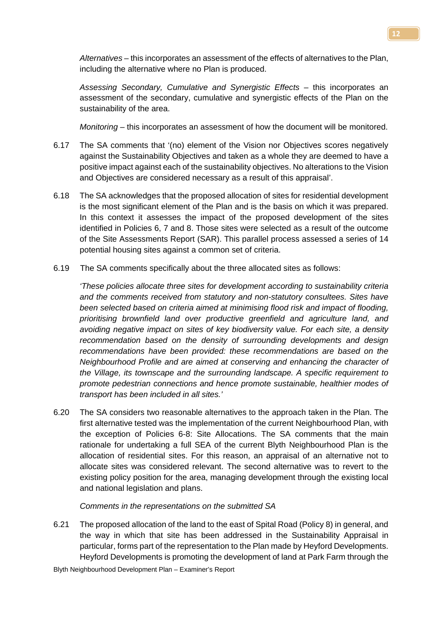*Alternatives* – this incorporates an assessment of the effects of alternatives to the Plan, including the alternative where no Plan is produced.

*Assessing Secondary, Cumulative and Synergistic Effects* – this incorporates an assessment of the secondary, cumulative and synergistic effects of the Plan on the sustainability of the area.

*Monitoring* – this incorporates an assessment of how the document will be monitored.

- 6.17 The SA comments that '(no) element of the Vision nor Objectives scores negatively against the Sustainability Objectives and taken as a whole they are deemed to have a positive impact against each of the sustainability objectives. No alterations to the Vision and Objectives are considered necessary as a result of this appraisal'.
- 6.18 The SA acknowledges that the proposed allocation of sites for residential development is the most significant element of the Plan and is the basis on which it was prepared. In this context it assesses the impact of the proposed development of the sites identified in Policies 6, 7 and 8. Those sites were selected as a result of the outcome of the Site Assessments Report (SAR). This parallel process assessed a series of 14 potential housing sites against a common set of criteria.
- 6.19 The SA comments specifically about the three allocated sites as follows:

*'These policies allocate three sites for development according to sustainability criteria and the comments received from statutory and non-statutory consultees. Sites have been selected based on criteria aimed at minimising flood risk and impact of flooding, prioritising brownfield land over productive greenfield and agriculture land, and avoiding negative impact on sites of key biodiversity value. For each site, a density recommendation based on the density of surrounding developments and design recommendations have been provided: these recommendations are based on the Neighbourhood Profile and are aimed at conserving and enhancing the character of the Village, its townscape and the surrounding landscape. A specific requirement to promote pedestrian connections and hence promote sustainable, healthier modes of transport has been included in all sites.'*

6.20 The SA considers two reasonable alternatives to the approach taken in the Plan. The first alternative tested was the implementation of the current Neighbourhood Plan, with the exception of Policies 6-8: Site Allocations. The SA comments that the main rationale for undertaking a full SEA of the current Blyth Neighbourhood Plan is the allocation of residential sites. For this reason, an appraisal of an alternative not to allocate sites was considered relevant. The second alternative was to revert to the existing policy position for the area, managing development through the existing local and national legislation and plans.

#### *Comments in the representations on the submitted SA*

6.21 The proposed allocation of the land to the east of Spital Road (Policy 8) in general, and the way in which that site has been addressed in the Sustainability Appraisal in particular, forms part of the representation to the Plan made by Heyford Developments. Heyford Developments is promoting the development of land at Park Farm through the

Blyth Neighbourhood Development Plan – Examiner's Report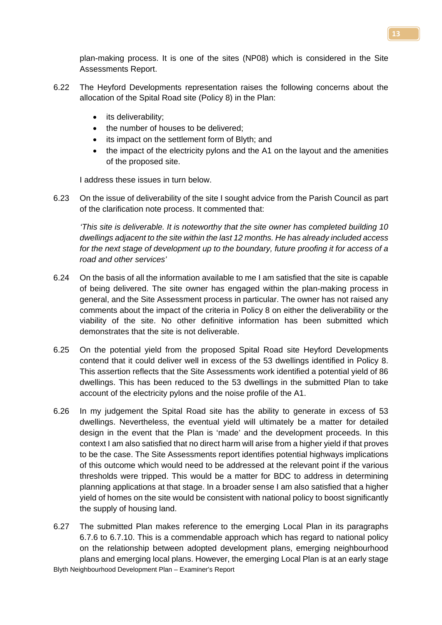plan-making process. It is one of the sites (NP08) which is considered in the Site Assessments Report.

- 6.22 The Heyford Developments representation raises the following concerns about the allocation of the Spital Road site (Policy 8) in the Plan:
	- its deliverability;
	- the number of houses to be delivered:
	- its impact on the settlement form of Blyth; and
	- the impact of the electricity pylons and the A1 on the layout and the amenities of the proposed site.

I address these issues in turn below.

6.23 On the issue of deliverability of the site I sought advice from the Parish Council as part of the clarification note process. It commented that:

*'This site is deliverable. It is noteworthy that the site owner has completed building 10 dwellings adjacent to the site within the last 12 months. He has already included access for the next stage of development up to the boundary, future proofing it for access of a road and other services'* 

- 6.24 On the basis of all the information available to me I am satisfied that the site is capable of being delivered. The site owner has engaged within the plan-making process in general, and the Site Assessment process in particular. The owner has not raised any comments about the impact of the criteria in Policy 8 on either the deliverability or the viability of the site. No other definitive information has been submitted which demonstrates that the site is not deliverable.
- 6.25 On the potential yield from the proposed Spital Road site Heyford Developments contend that it could deliver well in excess of the 53 dwellings identified in Policy 8. This assertion reflects that the Site Assessments work identified a potential yield of 86 dwellings. This has been reduced to the 53 dwellings in the submitted Plan to take account of the electricity pylons and the noise profile of the A1.
- 6.26 In my judgement the Spital Road site has the ability to generate in excess of 53 dwellings. Nevertheless, the eventual yield will ultimately be a matter for detailed design in the event that the Plan is 'made' and the development proceeds. In this context I am also satisfied that no direct harm will arise from a higher yield if that proves to be the case. The Site Assessments report identifies potential highways implications of this outcome which would need to be addressed at the relevant point if the various thresholds were tripped. This would be a matter for BDC to address in determining planning applications at that stage. In a broader sense I am also satisfied that a higher yield of homes on the site would be consistent with national policy to boost significantly the supply of housing land.
- Blyth Neighbourhood Development Plan Examiner's Report 6.27 The submitted Plan makes reference to the emerging Local Plan in its paragraphs 6.7.6 to 6.7.10. This is a commendable approach which has regard to national policy on the relationship between adopted development plans, emerging neighbourhood plans and emerging local plans. However, the emerging Local Plan is at an early stage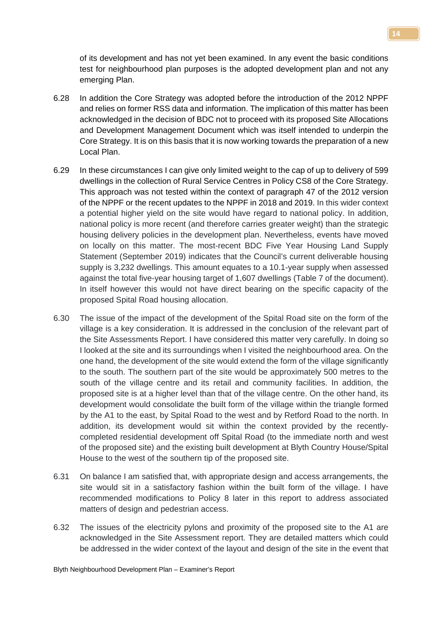of its development and has not yet been examined. In any event the basic conditions test for neighbourhood plan purposes is the adopted development plan and not any emerging Plan.

- 6.28 In addition the Core Strategy was adopted before the introduction of the 2012 NPPF and relies on former RSS data and information. The implication of this matter has been acknowledged in the decision of BDC not to proceed with its proposed Site Allocations and Development Management Document which was itself intended to underpin the Core Strategy. It is on this basis that it is now working towards the preparation of a new Local Plan.
- 6.29 In these circumstances I can give only limited weight to the cap of up to delivery of 599 dwellings in the collection of Rural Service Centres in Policy CS8 of the Core Strategy. This approach was not tested within the context of paragraph 47 of the 2012 version of the NPPF or the recent updates to the NPPF in 2018 and 2019. In this wider context a potential higher yield on the site would have regard to national policy. In addition, national policy is more recent (and therefore carries greater weight) than the strategic housing delivery policies in the development plan. Nevertheless, events have moved on locally on this matter. The most-recent BDC Five Year Housing Land Supply Statement (September 2019) indicates that the Council's current deliverable housing supply is 3,232 dwellings. This amount equates to a 10.1-year supply when assessed against the total five-year housing target of 1,607 dwellings (Table 7 of the document). In itself however this would not have direct bearing on the specific capacity of the proposed Spital Road housing allocation.
- 6.30 The issue of the impact of the development of the Spital Road site on the form of the village is a key consideration. It is addressed in the conclusion of the relevant part of the Site Assessments Report. I have considered this matter very carefully. In doing so I looked at the site and its surroundings when I visited the neighbourhood area. On the one hand, the development of the site would extend the form of the village significantly to the south. The southern part of the site would be approximately 500 metres to the south of the village centre and its retail and community facilities. In addition, the proposed site is at a higher level than that of the village centre. On the other hand, its development would consolidate the built form of the village within the triangle formed by the A1 to the east, by Spital Road to the west and by Retford Road to the north. In addition, its development would sit within the context provided by the recentlycompleted residential development off Spital Road (to the immediate north and west of the proposed site) and the existing built development at Blyth Country House/Spital House to the west of the southern tip of the proposed site.
- 6.31 On balance I am satisfied that, with appropriate design and access arrangements, the site would sit in a satisfactory fashion within the built form of the village. I have recommended modifications to Policy 8 later in this report to address associated matters of design and pedestrian access.
- 6.32 The issues of the electricity pylons and proximity of the proposed site to the A1 are acknowledged in the Site Assessment report. They are detailed matters which could be addressed in the wider context of the layout and design of the site in the event that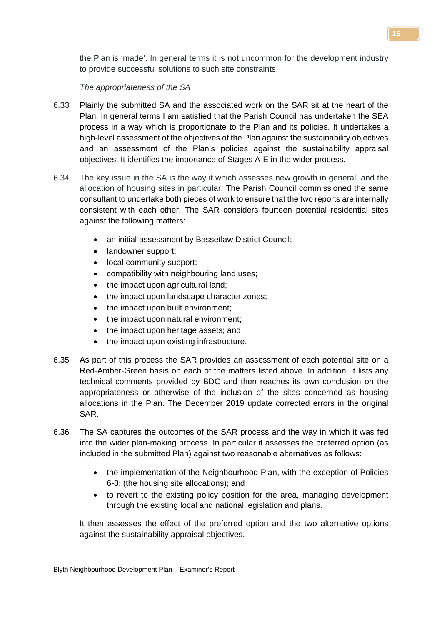the Plan is 'made'. In general terms it is not uncommon for the development industry to provide successful solutions to such site constraints.

# *The appropriateness of the SA*

- 6.33 Plainly the submitted SA and the associated work on the SAR sit at the heart of the Plan. In general terms I am satisfied that the Parish Council has undertaken the SEA process in a way which is proportionate to the Plan and its policies. It undertakes a high-level assessment of the objectives of the Plan against the sustainability objectives and an assessment of the Plan's policies against the sustainability appraisal objectives. It identifies the importance of Stages A-E in the wider process.
- 6.34 The key issue in the SA is the way it which assesses new growth in general, and the allocation of housing sites in particular. The Parish Council commissioned the same consultant to undertake both pieces of work to ensure that the two reports are internally consistent with each other. The SAR considers fourteen potential residential sites against the following matters:
	- an initial assessment by Bassetlaw District Council;
	- landowner support;
	- local community support;
	- compatibility with neighbouring land uses;
	- the impact upon agricultural land;
	- the impact upon landscape character zones;
	- the impact upon built environment;
	- the impact upon natural environment;
	- the impact upon heritage assets; and
	- the impact upon existing infrastructure.
- 6.35 As part of this process the SAR provides an assessment of each potential site on a Red-Amber-Green basis on each of the matters listed above. In addition, it lists any technical comments provided by BDC and then reaches its own conclusion on the appropriateness or otherwise of the inclusion of the sites concerned as housing allocations in the Plan. The December 2019 update corrected errors in the original SAR.
- 6.36 The SA captures the outcomes of the SAR process and the way in which it was fed into the wider plan-making process. In particular it assesses the preferred option (as included in the submitted Plan) against two reasonable alternatives as follows:
	- the implementation of the Neighbourhood Plan, with the exception of Policies 6-8: (the housing site allocations); and
	- to revert to the existing policy position for the area, managing development through the existing local and national legislation and plans.

It then assesses the effect of the preferred option and the two alternative options against the sustainability appraisal objectives.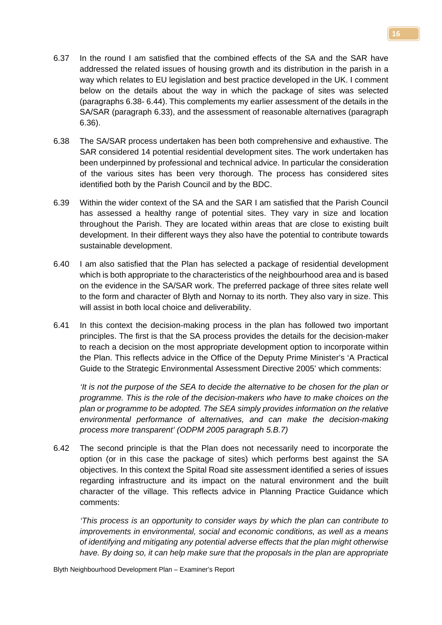- 6.37 In the round I am satisfied that the combined effects of the SA and the SAR have addressed the related issues of housing growth and its distribution in the parish in a way which relates to EU legislation and best practice developed in the UK. I comment below on the details about the way in which the package of sites was selected (paragraphs 6.38- 6.44). This complements my earlier assessment of the details in the SA/SAR (paragraph 6.33), and the assessment of reasonable alternatives (paragraph 6.36).
- 6.38 The SA/SAR process undertaken has been both comprehensive and exhaustive. The SAR considered 14 potential residential development sites. The work undertaken has been underpinned by professional and technical advice. In particular the consideration of the various sites has been very thorough. The process has considered sites identified both by the Parish Council and by the BDC.
- 6.39 Within the wider context of the SA and the SAR I am satisfied that the Parish Council has assessed a healthy range of potential sites. They vary in size and location throughout the Parish. They are located within areas that are close to existing built development. In their different ways they also have the potential to contribute towards sustainable development.
- 6.40 I am also satisfied that the Plan has selected a package of residential development which is both appropriate to the characteristics of the neighbourhood area and is based on the evidence in the SA/SAR work. The preferred package of three sites relate well to the form and character of Blyth and Nornay to its north. They also vary in size. This will assist in both local choice and deliverability.
- 6.41 In this context the decision-making process in the plan has followed two important principles. The first is that the SA process provides the details for the decision-maker to reach a decision on the most appropriate development option to incorporate within the Plan. This reflects advice in the Office of the Deputy Prime Minister's 'A Practical Guide to the Strategic Environmental Assessment Directive 2005' which comments:

*'It is not the purpose of the SEA to decide the alternative to be chosen for the plan or programme. This is the role of the decision-makers who have to make choices on the plan or programme to be adopted. The SEA simply provides information on the relative environmental performance of alternatives, and can make the decision-making process more transparent' (ODPM 2005 paragraph 5.B.7)*

6.42 The second principle is that the Plan does not necessarily need to incorporate the option (or in this case the package of sites) which performs best against the SA objectives. In this context the Spital Road site assessment identified a series of issues regarding infrastructure and its impact on the natural environment and the built character of the village. This reflects advice in Planning Practice Guidance which comments:

*'This process is an opportunity to consider ways by which the plan can contribute to improvements in environmental, social and economic conditions, as well as a means of identifying and mitigating any potential adverse effects that the plan might otherwise have. By doing so, it can help make sure that the proposals in the plan are appropriate*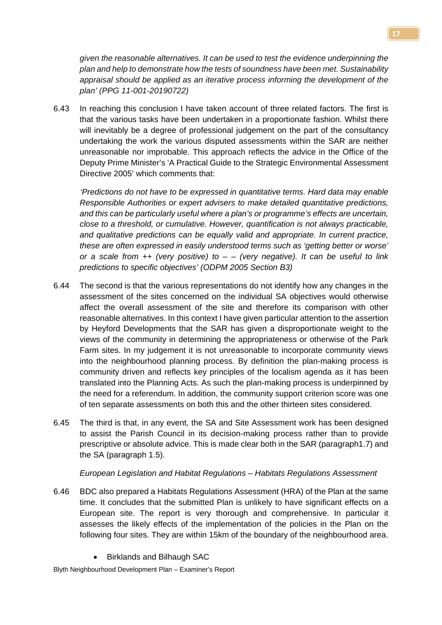*given the reasonable alternatives. It can be used to test the evidence underpinning the plan and help to demonstrate how the tests of soundness have been met. Sustainability appraisal should be applied as an iterative process informing the development of the plan' (PPG 11-001-20190722)*

6.43 In reaching this conclusion I have taken account of three related factors. The first is that the various tasks have been undertaken in a proportionate fashion. Whilst there will inevitably be a degree of professional judgement on the part of the consultancy undertaking the work the various disputed assessments within the SAR are neither unreasonable nor improbable. This approach reflects the advice in the Office of the Deputy Prime Minister's 'A Practical Guide to the Strategic Environmental Assessment Directive 2005' which comments that:

*'Predictions do not have to be expressed in quantitative terms. Hard data may enable Responsible Authorities or expert advisers to make detailed quantitative predictions, and this can be particularly useful where a plan's or programme's effects are uncertain, close to a threshold, or cumulative. However, quantification is not always practicable, and qualitative predictions can be equally valid and appropriate. In current practice, these are often expressed in easily understood terms such as 'getting better or worse' or a scale from ++ (very positive) to – – (very negative). It can be useful to link predictions to specific objectives' (ODPM 2005 Section B3)*

- 6.44 The second is that the various representations do not identify how any changes in the assessment of the sites concerned on the individual SA objectives would otherwise affect the overall assessment of the site and therefore its comparison with other reasonable alternatives. In this context I have given particular attention to the assertion by Heyford Developments that the SAR has given a disproportionate weight to the views of the community in determining the appropriateness or otherwise of the Park Farm sites. In my judgement it is not unreasonable to incorporate community views into the neighbourhood planning process. By definition the plan-making process is community driven and reflects key principles of the localism agenda as it has been translated into the Planning Acts. As such the plan-making process is underpinned by the need for a referendum. In addition, the community support criterion score was one of ten separate assessments on both this and the other thirteen sites considered.
- 6.45 The third is that, in any event, the SA and Site Assessment work has been designed to assist the Parish Council in its decision-making process rather than to provide prescriptive or absolute advice. This is made clear both in the SAR (paragraph1.7) and the SA (paragraph 1.5).

# *European Legislation and Habitat Regulations – Habitats Regulations Assessment*

- 6.46 BDC also prepared a Habitats Regulations Assessment (HRA) of the Plan at the same time. It concludes that the submitted Plan is unlikely to have significant effects on a European site. The report is very thorough and comprehensive. In particular it assesses the likely effects of the implementation of the policies in the Plan on the following four sites. They are within 15km of the boundary of the neighbourhood area.
	- Birklands and Bilhaugh SAC

Blyth Neighbourhood Development Plan – Examiner's Report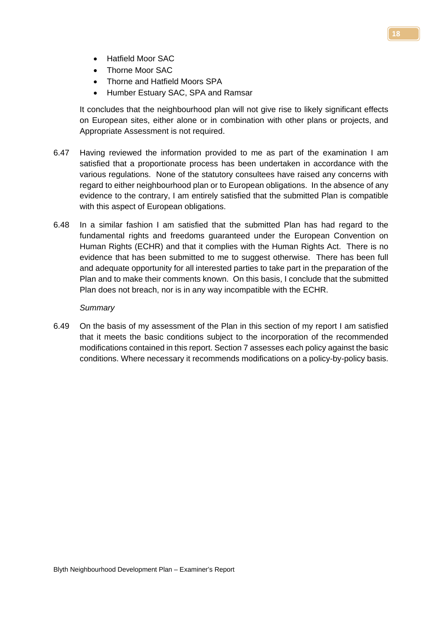- Hatfield Moor SAC
- Thorne Moor SAC
- Thorne and Hatfield Moors SPA
- Humber Estuary SAC, SPA and Ramsar

It concludes that the neighbourhood plan will not give rise to likely significant effects on European sites, either alone or in combination with other plans or projects, and Appropriate Assessment is not required.

- 6.47 Having reviewed the information provided to me as part of the examination I am satisfied that a proportionate process has been undertaken in accordance with the various regulations. None of the statutory consultees have raised any concerns with regard to either neighbourhood plan or to European obligations. In the absence of any evidence to the contrary, I am entirely satisfied that the submitted Plan is compatible with this aspect of European obligations.
- 6.48 In a similar fashion I am satisfied that the submitted Plan has had regard to the fundamental rights and freedoms guaranteed under the European Convention on Human Rights (ECHR) and that it complies with the Human Rights Act. There is no evidence that has been submitted to me to suggest otherwise. There has been full and adequate opportunity for all interested parties to take part in the preparation of the Plan and to make their comments known. On this basis, I conclude that the submitted Plan does not breach, nor is in any way incompatible with the ECHR.

#### *Summary*

6.49 On the basis of my assessment of the Plan in this section of my report I am satisfied that it meets the basic conditions subject to the incorporation of the recommended modifications contained in this report. Section 7 assesses each policy against the basic conditions. Where necessary it recommends modifications on a policy-by-policy basis.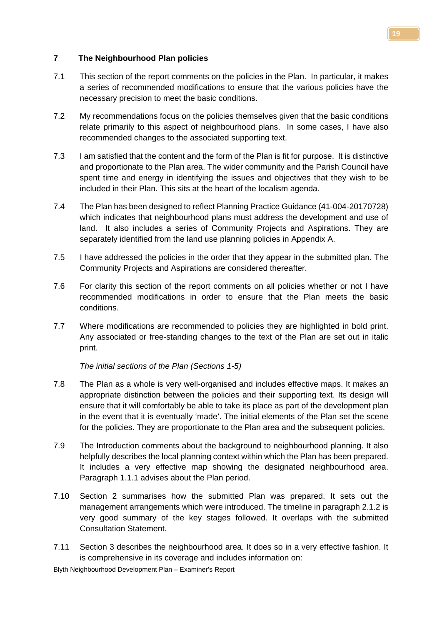# **7 The Neighbourhood Plan policies**

- 7.1 This section of the report comments on the policies in the Plan. In particular, it makes a series of recommended modifications to ensure that the various policies have the necessary precision to meet the basic conditions.
- 7.2 My recommendations focus on the policies themselves given that the basic conditions relate primarily to this aspect of neighbourhood plans. In some cases, I have also recommended changes to the associated supporting text.
- 7.3 I am satisfied that the content and the form of the Plan is fit for purpose. It is distinctive and proportionate to the Plan area. The wider community and the Parish Council have spent time and energy in identifying the issues and objectives that they wish to be included in their Plan. This sits at the heart of the localism agenda.
- 7.4 The Plan has been designed to reflect Planning Practice Guidance (41-004-20170728) which indicates that neighbourhood plans must address the development and use of land. It also includes a series of Community Projects and Aspirations. They are separately identified from the land use planning policies in Appendix A.
- 7.5 I have addressed the policies in the order that they appear in the submitted plan. The Community Projects and Aspirations are considered thereafter.
- 7.6 For clarity this section of the report comments on all policies whether or not I have recommended modifications in order to ensure that the Plan meets the basic conditions.
- 7.7 Where modifications are recommended to policies they are highlighted in bold print. Any associated or free-standing changes to the text of the Plan are set out in italic print.

*The initial sections of the Plan (Sections 1-5)*

- 7.8 The Plan as a whole is very well-organised and includes effective maps. It makes an appropriate distinction between the policies and their supporting text. Its design will ensure that it will comfortably be able to take its place as part of the development plan in the event that it is eventually 'made'. The initial elements of the Plan set the scene for the policies. They are proportionate to the Plan area and the subsequent policies.
- 7.9 The Introduction comments about the background to neighbourhood planning. It also helpfully describes the local planning context within which the Plan has been prepared. It includes a very effective map showing the designated neighbourhood area. Paragraph 1.1.1 advises about the Plan period.
- 7.10 Section 2 summarises how the submitted Plan was prepared. It sets out the management arrangements which were introduced. The timeline in paragraph 2.1.2 is very good summary of the key stages followed. It overlaps with the submitted Consultation Statement.
- 7.11 Section 3 describes the neighbourhood area. It does so in a very effective fashion. It is comprehensive in its coverage and includes information on: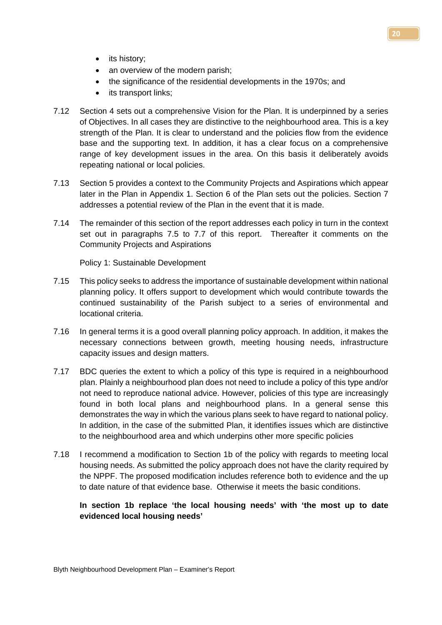- its history;
- an overview of the modern parish;
- the significance of the residential developments in the 1970s; and
- its transport links;
- 7.12 Section 4 sets out a comprehensive Vision for the Plan. It is underpinned by a series of Objectives. In all cases they are distinctive to the neighbourhood area. This is a key strength of the Plan. It is clear to understand and the policies flow from the evidence base and the supporting text. In addition, it has a clear focus on a comprehensive range of key development issues in the area. On this basis it deliberately avoids repeating national or local policies.
- 7.13 Section 5 provides a context to the Community Projects and Aspirations which appear later in the Plan in Appendix 1. Section 6 of the Plan sets out the policies. Section 7 addresses a potential review of the Plan in the event that it is made.
- 7.14 The remainder of this section of the report addresses each policy in turn in the context set out in paragraphs 7.5 to 7.7 of this report. Thereafter it comments on the Community Projects and Aspirations

Policy 1: Sustainable Development

- 7.15 This policy seeks to address the importance of sustainable development within national planning policy. It offers support to development which would contribute towards the continued sustainability of the Parish subject to a series of environmental and locational criteria.
- 7.16 In general terms it is a good overall planning policy approach. In addition, it makes the necessary connections between growth, meeting housing needs, infrastructure capacity issues and design matters.
- 7.17 BDC queries the extent to which a policy of this type is required in a neighbourhood plan. Plainly a neighbourhood plan does not need to include a policy of this type and/or not need to reproduce national advice. However, policies of this type are increasingly found in both local plans and neighbourhood plans. In a general sense this demonstrates the way in which the various plans seek to have regard to national policy. In addition, in the case of the submitted Plan, it identifies issues which are distinctive to the neighbourhood area and which underpins other more specific policies
- 7.18 I recommend a modification to Section 1b of the policy with regards to meeting local housing needs. As submitted the policy approach does not have the clarity required by the NPPF. The proposed modification includes reference both to evidence and the up to date nature of that evidence base. Otherwise it meets the basic conditions.

# **In section 1b replace 'the local housing needs' with 'the most up to date evidenced local housing needs'**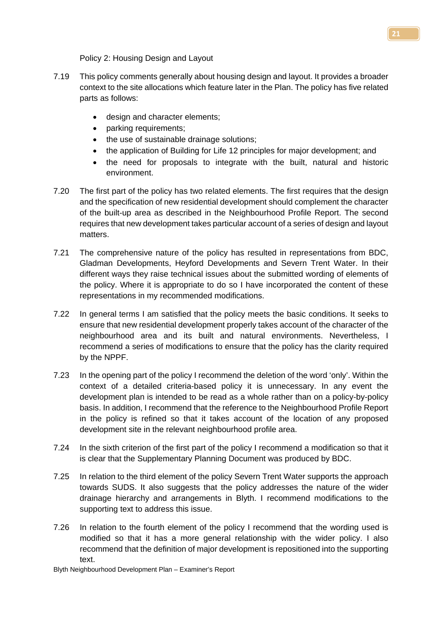Policy 2: Housing Design and Layout

- 7.19 This policy comments generally about housing design and layout. It provides a broader context to the site allocations which feature later in the Plan. The policy has five related parts as follows:
	- design and character elements;
	- parking requirements;
	- the use of sustainable drainage solutions;
	- the application of Building for Life 12 principles for major development; and
	- the need for proposals to integrate with the built, natural and historic environment.
- 7.20 The first part of the policy has two related elements. The first requires that the design and the specification of new residential development should complement the character of the built-up area as described in the Neighbourhood Profile Report. The second requires that new development takes particular account of a series of design and layout matters.
- 7.21 The comprehensive nature of the policy has resulted in representations from BDC, Gladman Developments, Heyford Developments and Severn Trent Water. In their different ways they raise technical issues about the submitted wording of elements of the policy. Where it is appropriate to do so I have incorporated the content of these representations in my recommended modifications.
- 7.22 In general terms I am satisfied that the policy meets the basic conditions. It seeks to ensure that new residential development properly takes account of the character of the neighbourhood area and its built and natural environments. Nevertheless, I recommend a series of modifications to ensure that the policy has the clarity required by the NPPF.
- 7.23 In the opening part of the policy I recommend the deletion of the word 'only'. Within the context of a detailed criteria-based policy it is unnecessary. In any event the development plan is intended to be read as a whole rather than on a policy-by-policy basis. In addition, I recommend that the reference to the Neighbourhood Profile Report in the policy is refined so that it takes account of the location of any proposed development site in the relevant neighbourhood profile area.
- 7.24 In the sixth criterion of the first part of the policy I recommend a modification so that it is clear that the Supplementary Planning Document was produced by BDC.
- 7.25 In relation to the third element of the policy Severn Trent Water supports the approach towards SUDS. It also suggests that the policy addresses the nature of the wider drainage hierarchy and arrangements in Blyth. I recommend modifications to the supporting text to address this issue.
- 7.26 In relation to the fourth element of the policy I recommend that the wording used is modified so that it has a more general relationship with the wider policy. I also recommend that the definition of major development is repositioned into the supporting text.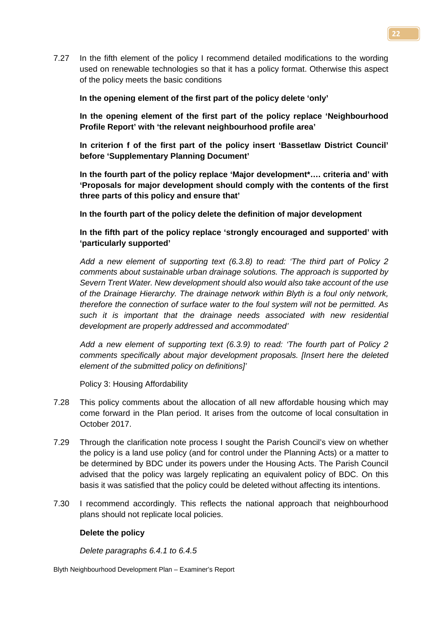7.27 In the fifth element of the policy I recommend detailed modifications to the wording used on renewable technologies so that it has a policy format. Otherwise this aspect of the policy meets the basic conditions

# **In the opening element of the first part of the policy delete 'only'**

**In the opening element of the first part of the policy replace 'Neighbourhood Profile Report' with 'the relevant neighbourhood profile area'**

**In criterion f of the first part of the policy insert 'Bassetlaw District Council' before 'Supplementary Planning Document'**

**In the fourth part of the policy replace 'Major development\*…. criteria and' with 'Proposals for major development should comply with the contents of the first three parts of this policy and ensure that'**

# **In the fourth part of the policy delete the definition of major development**

# **In the fifth part of the policy replace 'strongly encouraged and supported' with 'particularly supported'**

*Add a new element of supporting text (6.3.8) to read: 'The third part of Policy 2 comments about sustainable urban drainage solutions. The approach is supported by Severn Trent Water. New development should also would also take account of the use of the Drainage Hierarchy. The drainage network within Blyth is a foul only network, therefore the connection of surface water to the foul system will not be permitted. As such it is important that the drainage needs associated with new residential development are properly addressed and accommodated'*

*Add a new element of supporting text (6.3.9) to read: 'The fourth part of Policy 2 comments specifically about major development proposals. [Insert here the deleted element of the submitted policy on definitions]'*

Policy 3: Housing Affordability

- 7.28 This policy comments about the allocation of all new affordable housing which may come forward in the Plan period. It arises from the outcome of local consultation in October 2017.
- 7.29 Through the clarification note process I sought the Parish Council's view on whether the policy is a land use policy (and for control under the Planning Acts) or a matter to be determined by BDC under its powers under the Housing Acts. The Parish Council advised that the policy was largely replicating an equivalent policy of BDC. On this basis it was satisfied that the policy could be deleted without affecting its intentions.
- 7.30 I recommend accordingly. This reflects the national approach that neighbourhood plans should not replicate local policies.

# **Delete the policy**

*Delete paragraphs 6.4.1 to 6.4.5*

Blyth Neighbourhood Development Plan – Examiner's Report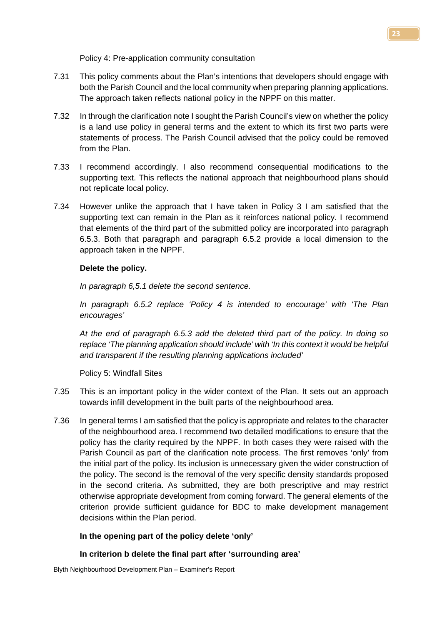Policy 4: Pre-application community consultation

- 7.31 This policy comments about the Plan's intentions that developers should engage with both the Parish Council and the local community when preparing planning applications. The approach taken reflects national policy in the NPPF on this matter.
- 7.32 In through the clarification note I sought the Parish Council's view on whether the policy is a land use policy in general terms and the extent to which its first two parts were statements of process. The Parish Council advised that the policy could be removed from the Plan.
- 7.33 I recommend accordingly. I also recommend consequential modifications to the supporting text. This reflects the national approach that neighbourhood plans should not replicate local policy.
- 7.34 However unlike the approach that I have taken in Policy 3 I am satisfied that the supporting text can remain in the Plan as it reinforces national policy. I recommend that elements of the third part of the submitted policy are incorporated into paragraph 6.5.3. Both that paragraph and paragraph 6.5.2 provide a local dimension to the approach taken in the NPPF.

# **Delete the policy.**

*In paragraph 6,5.1 delete the second sentence.*

*In paragraph 6.5.2 replace 'Policy 4 is intended to encourage' with 'The Plan encourages'*

*At the end of paragraph 6.5.3 add the deleted third part of the policy. In doing so replace 'The planning application should include' with 'In this context it would be helpful and transparent if the resulting planning applications included'*

Policy 5: Windfall Sites

- 7.35 This is an important policy in the wider context of the Plan. It sets out an approach towards infill development in the built parts of the neighbourhood area.
- 7.36 In general terms I am satisfied that the policy is appropriate and relates to the character of the neighbourhood area. I recommend two detailed modifications to ensure that the policy has the clarity required by the NPPF. In both cases they were raised with the Parish Council as part of the clarification note process. The first removes 'only' from the initial part of the policy. Its inclusion is unnecessary given the wider construction of the policy. The second is the removal of the very specific density standards proposed in the second criteria. As submitted, they are both prescriptive and may restrict otherwise appropriate development from coming forward. The general elements of the criterion provide sufficient guidance for BDC to make development management decisions within the Plan period.

# **In the opening part of the policy delete 'only'**

# **In criterion b delete the final part after 'surrounding area'**

Blyth Neighbourhood Development Plan – Examiner's Report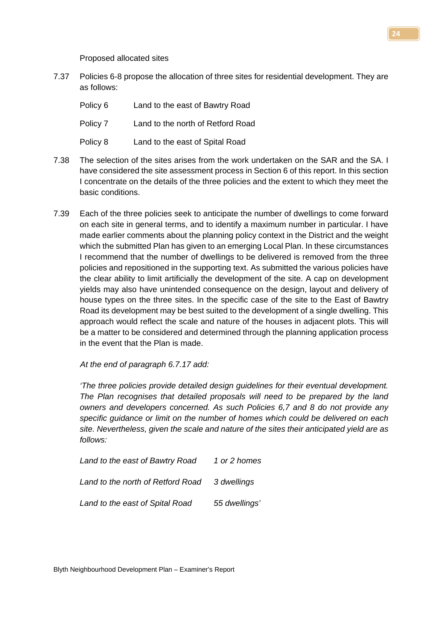Proposed allocated sites

7.37 Policies 6-8 propose the allocation of three sites for residential development. They are as follows:

| Policy 6 | Land to the east of Bawtry Road   |
|----------|-----------------------------------|
| Policy 7 | Land to the north of Retford Road |
| Policy 8 | Land to the east of Spital Road   |

- 7.38 The selection of the sites arises from the work undertaken on the SAR and the SA. I have considered the site assessment process in Section 6 of this report. In this section I concentrate on the details of the three policies and the extent to which they meet the basic conditions.
- 7.39 Each of the three policies seek to anticipate the number of dwellings to come forward on each site in general terms, and to identify a maximum number in particular. I have made earlier comments about the planning policy context in the District and the weight which the submitted Plan has given to an emerging Local Plan. In these circumstances I recommend that the number of dwellings to be delivered is removed from the three policies and repositioned in the supporting text. As submitted the various policies have the clear ability to limit artificially the development of the site. A cap on development yields may also have unintended consequence on the design, layout and delivery of house types on the three sites. In the specific case of the site to the East of Bawtry Road its development may be best suited to the development of a single dwelling. This approach would reflect the scale and nature of the houses in adjacent plots. This will be a matter to be considered and determined through the planning application process in the event that the Plan is made.

*At the end of paragraph 6.7.17 add:* 

*'The three policies provide detailed design guidelines for their eventual development. The Plan recognises that detailed proposals will need to be prepared by the land owners and developers concerned. As such Policies 6,7 and 8 do not provide any specific guidance or limit on the number of homes which could be delivered on each site. Nevertheless, given the scale and nature of the sites their anticipated yield are as follows:*

| Land to the east of Bawtry Road               | 1 or 2 homes  |
|-----------------------------------------------|---------------|
| Land to the north of Retford Road 3 dwellings |               |
| Land to the east of Spital Road               | 55 dwellings' |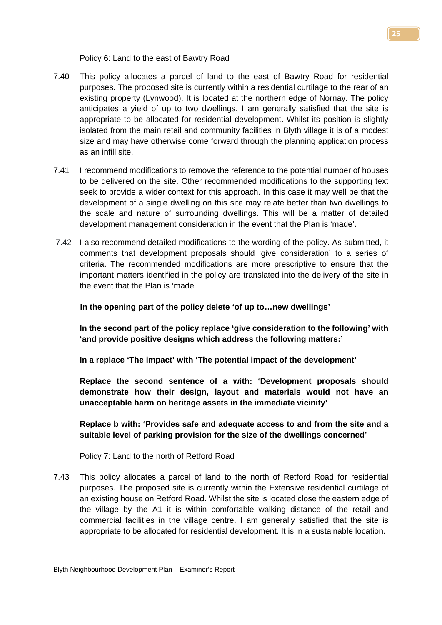Policy 6: Land to the east of Bawtry Road

- 7.40 This policy allocates a parcel of land to the east of Bawtry Road for residential purposes. The proposed site is currently within a residential curtilage to the rear of an existing property (Lynwood). It is located at the northern edge of Nornay. The policy anticipates a yield of up to two dwellings. I am generally satisfied that the site is appropriate to be allocated for residential development. Whilst its position is slightly isolated from the main retail and community facilities in Blyth village it is of a modest size and may have otherwise come forward through the planning application process as an infill site.
- 7.41 I recommend modifications to remove the reference to the potential number of houses to be delivered on the site. Other recommended modifications to the supporting text seek to provide a wider context for this approach. In this case it may well be that the development of a single dwelling on this site may relate better than two dwellings to the scale and nature of surrounding dwellings. This will be a matter of detailed development management consideration in the event that the Plan is 'made'.
- 7.42 I also recommend detailed modifications to the wording of the policy. As submitted, it comments that development proposals should 'give consideration' to a series of criteria. The recommended modifications are more prescriptive to ensure that the important matters identified in the policy are translated into the delivery of the site in the event that the Plan is 'made'.

# **In the opening part of the policy delete 'of up to…new dwellings'**

**In the second part of the policy replace 'give consideration to the following' with 'and provide positive designs which address the following matters:'**

**In a replace 'The impact' with 'The potential impact of the development'**

**Replace the second sentence of a with: 'Development proposals should demonstrate how their design, layout and materials would not have an unacceptable harm on heritage assets in the immediate vicinity'**

**Replace b with: 'Provides safe and adequate access to and from the site and a suitable level of parking provision for the size of the dwellings concerned'**

Policy 7: Land to the north of Retford Road

7.43 This policy allocates a parcel of land to the north of Retford Road for residential purposes. The proposed site is currently within the Extensive residential curtilage of an existing house on Retford Road. Whilst the site is located close the eastern edge of the village by the A1 it is within comfortable walking distance of the retail and commercial facilities in the village centre. I am generally satisfied that the site is appropriate to be allocated for residential development. It is in a sustainable location.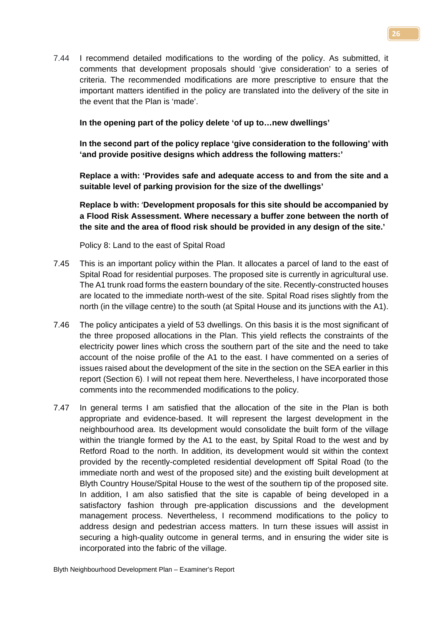7.44 I recommend detailed modifications to the wording of the policy. As submitted, it comments that development proposals should 'give consideration' to a series of criteria. The recommended modifications are more prescriptive to ensure that the important matters identified in the policy are translated into the delivery of the site in the event that the Plan is 'made'.

# **In the opening part of the policy delete 'of up to…new dwellings'**

**In the second part of the policy replace 'give consideration to the following' with 'and provide positive designs which address the following matters:'**

**Replace a with: 'Provides safe and adequate access to and from the site and a suitable level of parking provision for the size of the dwellings'**

**Replace b with:** '**Development proposals for this site should be accompanied by a Flood Risk Assessment. Where necessary a buffer zone between the north of the site and the area of flood risk should be provided in any design of the site.'** 

Policy 8: Land to the east of Spital Road

- 7.45 This is an important policy within the Plan. It allocates a parcel of land to the east of Spital Road for residential purposes. The proposed site is currently in agricultural use. The A1 trunk road forms the eastern boundary of the site. Recently-constructed houses are located to the immediate north-west of the site. Spital Road rises slightly from the north (in the village centre) to the south (at Spital House and its junctions with the A1).
- 7.46 The policy anticipates a yield of 53 dwellings. On this basis it is the most significant of the three proposed allocations in the Plan. This yield reflects the constraints of the electricity power lines which cross the southern part of the site and the need to take account of the noise profile of the A1 to the east. I have commented on a series of issues raised about the development of the site in the section on the SEA earlier in this report (Section 6). I will not repeat them here. Nevertheless, I have incorporated those comments into the recommended modifications to the policy.
- 7.47 In general terms I am satisfied that the allocation of the site in the Plan is both appropriate and evidence-based. It will represent the largest development in the neighbourhood area. Its development would consolidate the built form of the village within the triangle formed by the A1 to the east, by Spital Road to the west and by Retford Road to the north. In addition, its development would sit within the context provided by the recently-completed residential development off Spital Road (to the immediate north and west of the proposed site) and the existing built development at Blyth Country House/Spital House to the west of the southern tip of the proposed site. In addition, I am also satisfied that the site is capable of being developed in a satisfactory fashion through pre-application discussions and the development management process. Nevertheless, I recommend modifications to the policy to address design and pedestrian access matters. In turn these issues will assist in securing a high-quality outcome in general terms, and in ensuring the wider site is incorporated into the fabric of the village.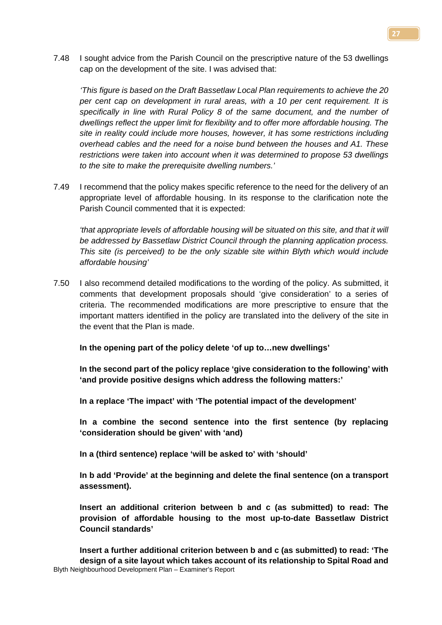7.48 I sought advice from the Parish Council on the prescriptive nature of the 53 dwellings cap on the development of the site. I was advised that:

*'This figure is based on the Draft Bassetlaw Local Plan requirements to achieve the 20 per cent cap on development in rural areas, with a 10 per cent requirement. It is specifically in line with Rural Policy 8 of the same document, and the number of dwellings reflect the upper limit for flexibility and to offer more affordable housing. The site in reality could include more houses, however, it has some restrictions including overhead cables and the need for a noise bund between the houses and A1. These restrictions were taken into account when it was determined to propose 53 dwellings to the site to make the prerequisite dwelling numbers.'*

7.49 I recommend that the policy makes specific reference to the need for the delivery of an appropriate level of affordable housing. In its response to the clarification note the Parish Council commented that it is expected:

*that appropriate levels of affordable housing will be situated on this site, and that it will be addressed by Bassetlaw District Council through the planning application process. This site (is perceived) to be the only sizable site within Blyth which would include affordable housing'* 

7.50 I also recommend detailed modifications to the wording of the policy. As submitted, it comments that development proposals should 'give consideration' to a series of criteria. The recommended modifications are more prescriptive to ensure that the important matters identified in the policy are translated into the delivery of the site in the event that the Plan is made.

**In the opening part of the policy delete 'of up to…new dwellings'**

**In the second part of the policy replace 'give consideration to the following' with 'and provide positive designs which address the following matters:'**

**In a replace 'The impact' with 'The potential impact of the development'**

**In a combine the second sentence into the first sentence (by replacing 'consideration should be given' with 'and)**

**In a (third sentence) replace 'will be asked to' with 'should'**

**In b add 'Provide' at the beginning and delete the final sentence (on a transport assessment).**

**Insert an additional criterion between b and c (as submitted) to read: The provision of affordable housing to the most up-to-date Bassetlaw District Council standards'**

Blyth Neighbourhood Development Plan – Examiner's Report **Insert a further additional criterion between b and c (as submitted) to read: 'The design of a site layout which takes account of its relationship to Spital Road and**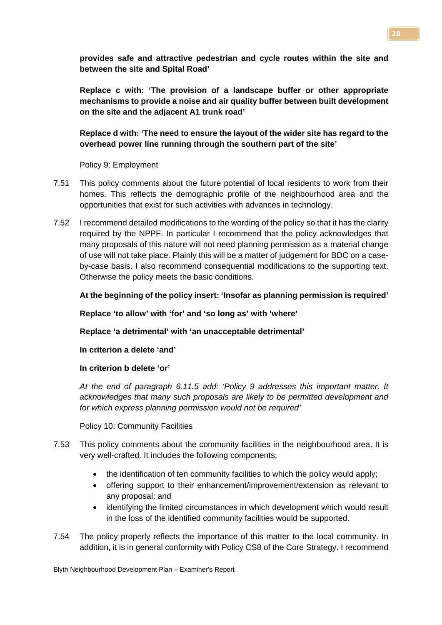**provides safe and attractive pedestrian and cycle routes within the site and between the site and Spital Road'**

**Replace c with: 'The provision of a landscape buffer or other appropriate mechanisms to provide a noise and air quality buffer between built development on the site and the adjacent A1 trunk road'**

# **Replace d with: 'The need to ensure the layout of the wider site has regard to the overhead power line running through the southern part of the site'**

Policy 9: Employment

- 7.51 This policy comments about the future potential of local residents to work from their homes. This reflects the demographic profile of the neighbourhood area and the opportunities that exist for such activities with advances in technology.
- 7.52 I recommend detailed modifications to the wording of the policy so that it has the clarity required by the NPPF. In particular I recommend that the policy acknowledges that many proposals of this nature will not need planning permission as a material change of use will not take place. Plainly this will be a matter of judgement for BDC on a caseby-case basis. I also recommend consequential modifications to the supporting text. Otherwise the policy meets the basic conditions.

# **At the beginning of the policy insert: 'Insofar as planning permission is required'**

**Replace 'to allow' with 'for' and 'so long as' with 'where'**

**Replace 'a detrimental' with 'an unacceptable detrimental'**

**In criterion a delete 'and'**

# **In criterion b delete 'or'**

*At the end of paragraph 6.11.5 add: 'Policy 9 addresses this important matter. It acknowledges that many such proposals are likely to be permitted development and for which express planning permission would not be required'*

Policy 10: Community Facilities

- 7.53 This policy comments about the community facilities in the neighbourhood area. It is very well-crafted. It includes the following components:
	- the identification of ten community facilities to which the policy would apply;
	- offering support to their enhancement/improvement/extension as relevant to any proposal; and
	- identifying the limited circumstances in which development which would result in the loss of the identified community facilities would be supported.
- 7.54 The policy properly reflects the importance of this matter to the local community. In addition, it is in general conformity with Policy CS8 of the Core Strategy. I recommend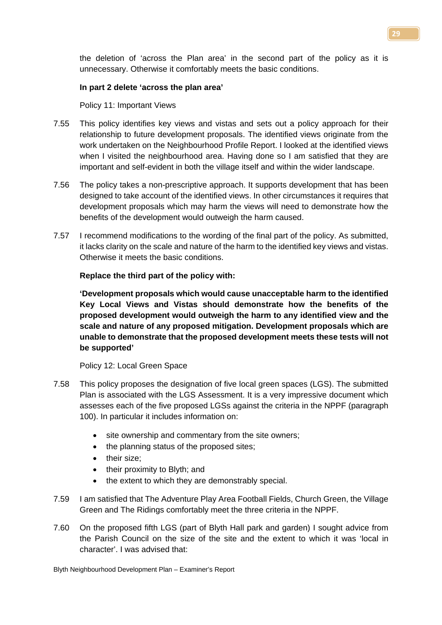the deletion of 'across the Plan area' in the second part of the policy as it is unnecessary. Otherwise it comfortably meets the basic conditions.

# **In part 2 delete 'across the plan area'**

Policy 11: Important Views

- 7.55 This policy identifies key views and vistas and sets out a policy approach for their relationship to future development proposals. The identified views originate from the work undertaken on the Neighbourhood Profile Report. I looked at the identified views when I visited the neighbourhood area. Having done so I am satisfied that they are important and self-evident in both the village itself and within the wider landscape.
- 7.56 The policy takes a non-prescriptive approach. It supports development that has been designed to take account of the identified views. In other circumstances it requires that development proposals which may harm the views will need to demonstrate how the benefits of the development would outweigh the harm caused.
- 7.57 I recommend modifications to the wording of the final part of the policy. As submitted, it lacks clarity on the scale and nature of the harm to the identified key views and vistas. Otherwise it meets the basic conditions.

# **Replace the third part of the policy with:**

**'Development proposals which would cause unacceptable harm to the identified Key Local Views and Vistas should demonstrate how the benefits of the proposed development would outweigh the harm to any identified view and the scale and nature of any proposed mitigation. Development proposals which are unable to demonstrate that the proposed development meets these tests will not be supported'**

Policy 12: Local Green Space

- 7.58 This policy proposes the designation of five local green spaces (LGS). The submitted Plan is associated with the LGS Assessment. It is a very impressive document which assesses each of the five proposed LGSs against the criteria in the NPPF (paragraph 100). In particular it includes information on:
	- site ownership and commentary from the site owners;
	- the planning status of the proposed sites;
	- their size;
	- their proximity to Blyth; and
	- the extent to which they are demonstrably special.
- 7.59 I am satisfied that The Adventure Play Area Football Fields, Church Green, the Village Green and The Ridings comfortably meet the three criteria in the NPPF.
- 7.60 On the proposed fifth LGS (part of Blyth Hall park and garden) I sought advice from the Parish Council on the size of the site and the extent to which it was 'local in character'. I was advised that: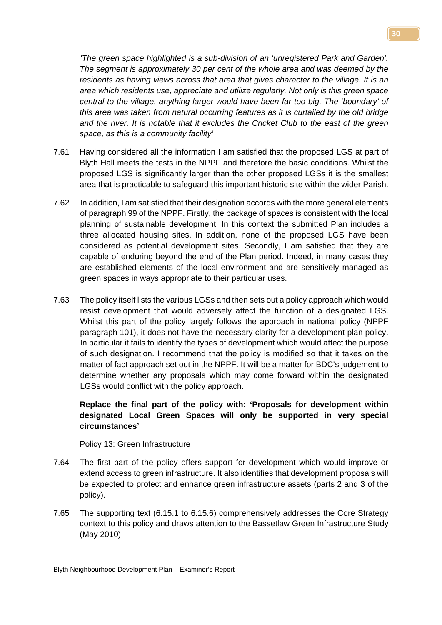*'The green space highlighted is a sub-division of an 'unregistered Park and Garden'. The segment is approximately 30 per cent of the whole area and was deemed by the residents as having views across that area that gives character to the village. It is an area which residents use, appreciate and utilize regularly. Not only is this green space central to the village, anything larger would have been far too big. The 'boundary' of this area was taken from natural occurring features as it is curtailed by the old bridge and the river. It is notable that it excludes the Cricket Club to the east of the green space, as this is a community facility'*

- 7.61 Having considered all the information I am satisfied that the proposed LGS at part of Blyth Hall meets the tests in the NPPF and therefore the basic conditions. Whilst the proposed LGS is significantly larger than the other proposed LGSs it is the smallest area that is practicable to safeguard this important historic site within the wider Parish.
- 7.62 In addition, I am satisfied that their designation accords with the more general elements of paragraph 99 of the NPPF. Firstly, the package of spaces is consistent with the local planning of sustainable development. In this context the submitted Plan includes a three allocated housing sites. In addition, none of the proposed LGS have been considered as potential development sites. Secondly, I am satisfied that they are capable of enduring beyond the end of the Plan period. Indeed, in many cases they are established elements of the local environment and are sensitively managed as green spaces in ways appropriate to their particular uses.
- 7.63 The policy itself lists the various LGSs and then sets out a policy approach which would resist development that would adversely affect the function of a designated LGS. Whilst this part of the policy largely follows the approach in national policy (NPPF paragraph 101), it does not have the necessary clarity for a development plan policy. In particular it fails to identify the types of development which would affect the purpose of such designation. I recommend that the policy is modified so that it takes on the matter of fact approach set out in the NPPF. It will be a matter for BDC's judgement to determine whether any proposals which may come forward within the designated LGSs would conflict with the policy approach.

# **Replace the final part of the policy with: 'Proposals for development within designated Local Green Spaces will only be supported in very special circumstances'**

Policy 13: Green Infrastructure

- 7.64 The first part of the policy offers support for development which would improve or extend access to green infrastructure. It also identifies that development proposals will be expected to protect and enhance green infrastructure assets (parts 2 and 3 of the policy).
- 7.65 The supporting text (6.15.1 to 6.15.6) comprehensively addresses the Core Strategy context to this policy and draws attention to the Bassetlaw Green Infrastructure Study (May 2010).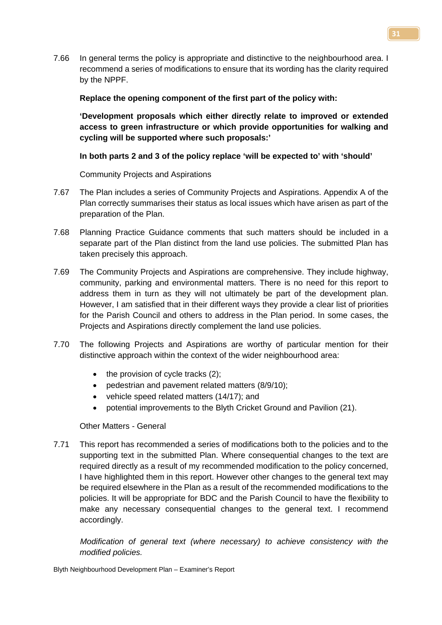7.66 In general terms the policy is appropriate and distinctive to the neighbourhood area. I recommend a series of modifications to ensure that its wording has the clarity required by the NPPF.

## **Replace the opening component of the first part of the policy with:**

**'Development proposals which either directly relate to improved or extended access to green infrastructure or which provide opportunities for walking and cycling will be supported where such proposals:'**

# **In both parts 2 and 3 of the policy replace 'will be expected to' with 'should'**

Community Projects and Aspirations

- 7.67 The Plan includes a series of Community Projects and Aspirations. Appendix A of the Plan correctly summarises their status as local issues which have arisen as part of the preparation of the Plan.
- 7.68 Planning Practice Guidance comments that such matters should be included in a separate part of the Plan distinct from the land use policies. The submitted Plan has taken precisely this approach.
- 7.69 The Community Projects and Aspirations are comprehensive. They include highway, community, parking and environmental matters. There is no need for this report to address them in turn as they will not ultimately be part of the development plan. However, I am satisfied that in their different ways they provide a clear list of priorities for the Parish Council and others to address in the Plan period. In some cases, the Projects and Aspirations directly complement the land use policies.
- 7.70 The following Projects and Aspirations are worthy of particular mention for their distinctive approach within the context of the wider neighbourhood area:
	- $\bullet$  the provision of cycle tracks (2);
	- pedestrian and pavement related matters (8/9/10);
	- vehicle speed related matters (14/17); and
	- potential improvements to the Blyth Cricket Ground and Pavilion (21).

# Other Matters - General

7.71 This report has recommended a series of modifications both to the policies and to the supporting text in the submitted Plan. Where consequential changes to the text are required directly as a result of my recommended modification to the policy concerned, I have highlighted them in this report. However other changes to the general text may be required elsewhere in the Plan as a result of the recommended modifications to the policies. It will be appropriate for BDC and the Parish Council to have the flexibility to make any necessary consequential changes to the general text. I recommend accordingly.

*Modification of general text (where necessary) to achieve consistency with the modified policies.*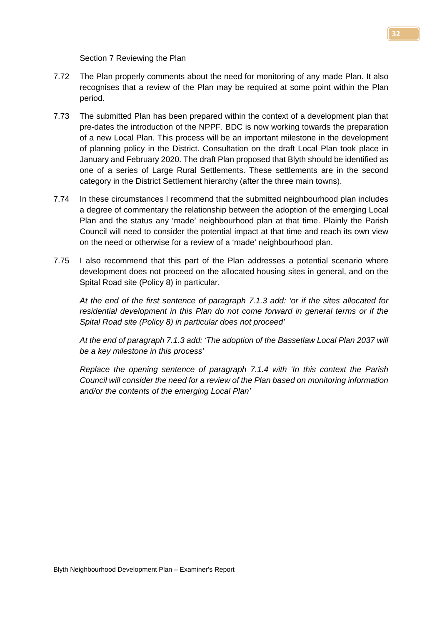Section 7 Reviewing the Plan

- 7.72 The Plan properly comments about the need for monitoring of any made Plan. It also recognises that a review of the Plan may be required at some point within the Plan period.
- 7.73 The submitted Plan has been prepared within the context of a development plan that pre-dates the introduction of the NPPF. BDC is now working towards the preparation of a new Local Plan. This process will be an important milestone in the development of planning policy in the District. Consultation on the draft Local Plan took place in January and February 2020. The draft Plan proposed that Blyth should be identified as one of a series of Large Rural Settlements. These settlements are in the second category in the District Settlement hierarchy (after the three main towns).
- 7.74 In these circumstances I recommend that the submitted neighbourhood plan includes a degree of commentary the relationship between the adoption of the emerging Local Plan and the status any 'made' neighbourhood plan at that time. Plainly the Parish Council will need to consider the potential impact at that time and reach its own view on the need or otherwise for a review of a 'made' neighbourhood plan.
- 7.75 I also recommend that this part of the Plan addresses a potential scenario where development does not proceed on the allocated housing sites in general, and on the Spital Road site (Policy 8) in particular.

*At the end of the first sentence of paragraph 7.1.3 add: 'or if the sites allocated for residential development in this Plan do not come forward in general terms or if the Spital Road site (Policy 8) in particular does not proceed'*

*At the end of paragraph 7.1.3 add: 'The adoption of the Bassetlaw Local Plan 2037 will be a key milestone in this process'*

*Replace the opening sentence of paragraph 7.1.4 with 'In this context the Parish Council will consider the need for a review of the Plan based on monitoring information and/or the contents of the emerging Local Plan'*